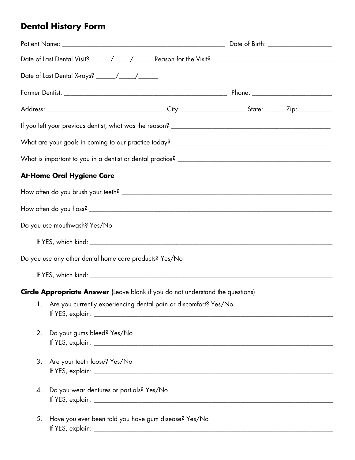## **Dental History Form**

|    | <b>At-Home Oral Hygiene Care</b>                                               |  |  |  |  |
|----|--------------------------------------------------------------------------------|--|--|--|--|
|    |                                                                                |  |  |  |  |
|    |                                                                                |  |  |  |  |
|    | Do you use mouthwash? Yes/No                                                   |  |  |  |  |
|    |                                                                                |  |  |  |  |
|    | Do you use any other dental home care products? Yes/No                         |  |  |  |  |
|    |                                                                                |  |  |  |  |
|    | Circle Appropriate Answer (Leave blank if you do not understand the questions) |  |  |  |  |
| 1. | Are you currently experiencing dental pain or discomfort? Yes/No               |  |  |  |  |
| 2. | Do your gums bleed? Yes/No                                                     |  |  |  |  |
| 3. | Are your teeth loose? Yes/No                                                   |  |  |  |  |
| 4. | Do you wear dentures or partials? Yes/No                                       |  |  |  |  |
| 5. | Have you ever been told you have gum disease? Yes/No                           |  |  |  |  |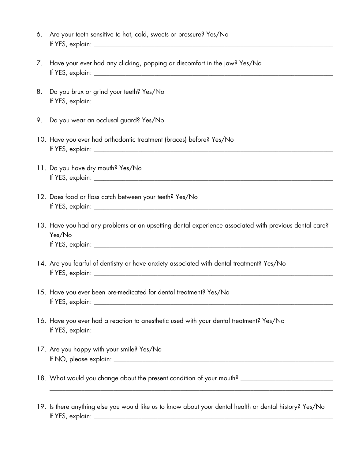- 6. Are your teeth sensitive to hot, cold, sweets or pressure? Yes/No If YES, explain: \_\_\_\_\_\_\_\_\_\_\_\_\_\_\_\_\_\_\_\_\_\_\_\_\_\_\_\_\_\_\_\_\_\_\_\_\_\_\_\_\_\_\_\_\_\_\_\_\_\_\_\_\_\_\_\_\_\_\_\_\_\_\_\_\_\_\_\_\_\_\_\_\_\_\_
- 7. Have your ever had any clicking, popping or discomfort in the jaw? Yes/No If YES, explain: \_\_\_\_\_\_\_\_\_\_\_\_\_\_\_\_\_\_\_\_\_\_\_\_\_\_\_\_\_\_\_\_\_\_\_\_\_\_\_\_\_\_\_\_\_\_\_\_\_\_\_\_\_\_\_\_\_\_\_\_\_\_\_\_\_\_\_\_\_\_\_\_\_\_\_
- 8. Do you brux or grind your teeth? Yes/No If YES, explain: \_\_\_\_\_\_\_\_\_\_\_\_\_\_\_\_\_\_\_\_\_\_\_\_\_\_\_\_\_\_\_\_\_\_\_\_\_\_\_\_\_\_\_\_\_\_\_\_\_\_\_\_\_\_\_\_\_\_\_\_\_\_\_\_\_\_\_\_\_\_\_\_\_\_\_
- 9. Do you wear an occlusal guard? Yes/No
- 10. Have you ever had orthodontic treatment (braces) before? Yes/No If YES, explain: \_\_\_\_\_\_\_\_\_\_\_\_\_\_\_\_\_\_\_\_\_\_\_\_\_\_\_\_\_\_\_\_\_\_\_\_\_\_\_\_\_\_\_\_\_\_\_\_\_\_\_\_\_\_\_\_\_\_\_\_\_\_\_\_\_\_\_\_\_\_\_\_\_\_\_
- 11. Do you have dry mouth? Yes/No If YES, explain: \_\_\_\_\_\_\_\_\_\_\_\_\_\_\_\_\_\_\_\_\_\_\_\_\_\_\_\_\_\_\_\_\_\_\_\_\_\_\_\_\_\_\_\_\_\_\_\_\_\_\_\_\_\_\_\_\_\_\_\_\_\_\_\_\_\_\_\_\_\_\_\_\_\_\_
- 12. Does food or floss catch between your teeth? Yes/No If YES, explain: \_\_\_\_\_\_\_\_\_\_\_\_\_\_\_\_\_\_\_\_\_\_\_\_\_\_\_\_\_\_\_\_\_\_\_\_\_\_\_\_\_\_\_\_\_\_\_\_\_\_\_\_\_\_\_\_\_\_\_\_\_\_\_\_\_\_\_\_\_\_\_\_\_\_\_
- 13. Have you had any problems or an upsetting dental experience associated with previous dental care? Yes/No If YES, explain: \_\_\_\_\_\_\_\_\_\_\_\_\_\_\_\_\_\_\_\_\_\_\_\_\_\_\_\_\_\_\_\_\_\_\_\_\_\_\_\_\_\_\_\_\_\_\_\_\_\_\_\_\_\_\_\_\_\_\_\_\_\_\_\_\_\_\_\_\_\_\_\_\_\_\_
- 14. Are you fearful of dentistry or have anxiety associated with dental treatment? Yes/No If YES, explain: \_\_\_\_\_\_\_\_\_\_\_\_\_\_\_\_\_\_\_\_\_\_\_\_\_\_\_\_\_\_\_\_\_\_\_\_\_\_\_\_\_\_\_\_\_\_\_\_\_\_\_\_\_\_\_\_\_\_\_\_\_\_\_\_\_\_\_\_\_\_\_\_\_\_\_
- 15. Have you ever been pre-medicated for dental treatment? Yes/No If YES, explain: \_\_\_\_\_\_\_\_\_\_\_\_\_\_\_\_\_\_\_\_\_\_\_\_\_\_\_\_\_\_\_\_\_\_\_\_\_\_\_\_\_\_\_\_\_\_\_\_\_\_\_\_\_\_\_\_\_\_\_\_\_\_\_\_\_\_\_\_\_\_\_\_\_\_\_
- 16. Have you ever had a reaction to anesthetic used with your dental treatment? Yes/No If YES, explain: \_\_\_\_\_\_\_\_\_\_\_\_\_\_\_\_\_\_\_\_\_\_\_\_\_\_\_\_\_\_\_\_\_\_\_\_\_\_\_\_\_\_\_\_\_\_\_\_\_\_\_\_\_\_\_\_\_\_\_\_\_\_\_\_\_\_\_\_\_\_\_\_\_\_\_
- 17. Are you happy with your smile? Yes/No If NO, please explain: \_\_\_\_\_\_\_\_\_\_\_\_\_\_\_\_\_\_\_\_\_\_\_\_\_\_\_\_\_\_\_\_\_\_\_\_\_\_\_\_\_\_\_\_\_\_\_\_\_\_\_\_\_\_\_\_\_\_\_\_\_\_\_\_\_\_\_\_\_
- 18. What would you change about the present condition of your mouth? \_\_\_\_\_\_\_\_\_\_\_\_\_\_\_\_\_\_\_\_\_\_\_\_\_\_\_\_\_
- 19. Is there anything else you would like us to know about your dental health or dental history? Yes/No If YES, explain: \_\_\_\_\_\_\_\_\_\_\_\_\_\_\_\_\_\_\_\_\_\_\_\_\_\_\_\_\_\_\_\_\_\_\_\_\_\_\_\_\_\_\_\_\_\_\_\_\_\_\_\_\_\_\_\_\_\_\_\_\_\_\_\_\_\_\_\_\_\_\_\_\_\_\_

\_\_\_\_\_\_\_\_\_\_\_\_\_\_\_\_\_\_\_\_\_\_\_\_\_\_\_\_\_\_\_\_\_\_\_\_\_\_\_\_\_\_\_\_\_\_\_\_\_\_\_\_\_\_\_\_\_\_\_\_\_\_\_\_\_\_\_\_\_\_\_\_\_\_\_\_\_\_\_\_\_\_\_\_\_\_\_\_\_